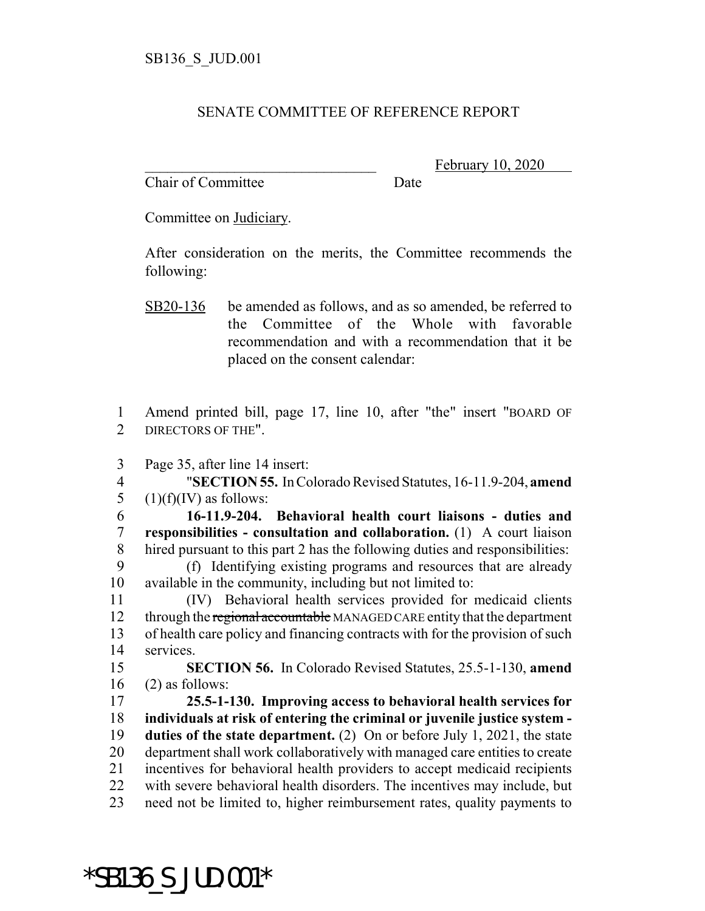## SENATE COMMITTEE OF REFERENCE REPORT

Chair of Committee Date

February 10, 2020

Committee on Judiciary.

After consideration on the merits, the Committee recommends the following:

1 Amend printed bill, page 17, line 10, after "the" insert "BOARD OF 2 DIRECTORS OF THE".

3 Page 35, after line 14 insert:

4 "**SECTION 55.** In Colorado Revised Statutes, 16-11.9-204, **amend** 5  $(1)(f)(IV)$  as follows:

 **16-11.9-204. Behavioral health court liaisons - duties and responsibilities - consultation and collaboration.** (1) A court liaison hired pursuant to this part 2 has the following duties and responsibilities: (f) Identifying existing programs and resources that are already available in the community, including but not limited to:

 (IV) Behavioral health services provided for medicaid clients 12 through the regional accountable MANAGED CARE entity that the department of health care policy and financing contracts with for the provision of such services.

15 **SECTION 56.** In Colorado Revised Statutes, 25.5-1-130, **amend**  $16$  (2) as follows:

 **25.5-1-130. Improving access to behavioral health services for individuals at risk of entering the criminal or juvenile justice system - duties of the state department.** (2) On or before July 1, 2021, the state department shall work collaboratively with managed care entities to create incentives for behavioral health providers to accept medicaid recipients with severe behavioral health disorders. The incentives may include, but need not be limited to, higher reimbursement rates, quality payments to

\*SB136\_S\_JUD.001\*

SB20-136 be amended as follows, and as so amended, be referred to the Committee of the Whole with favorable recommendation and with a recommendation that it be placed on the consent calendar: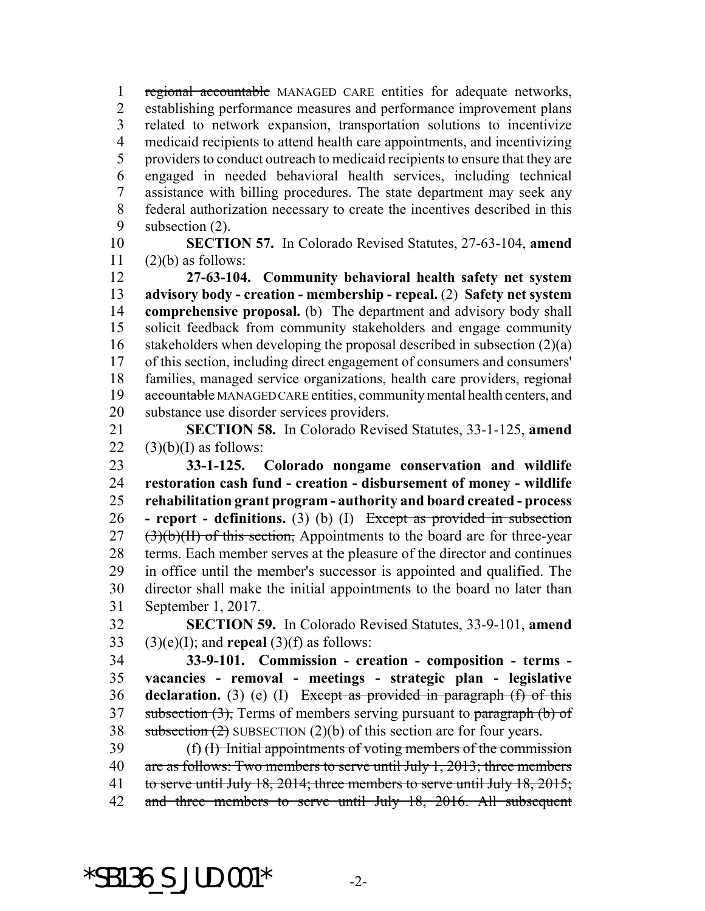1 regional accountable MANAGED CARE entities for adequate networks, establishing performance measures and performance improvement plans related to network expansion, transportation solutions to incentivize medicaid recipients to attend health care appointments, and incentivizing providers to conduct outreach to medicaid recipients to ensure that they are engaged in needed behavioral health services, including technical assistance with billing procedures. The state department may seek any federal authorization necessary to create the incentives described in this subsection (2).

 **SECTION 57.** In Colorado Revised Statutes, 27-63-104, **amend** (2)(b) as follows:

 **27-63-104. Community behavioral health safety net system advisory body - creation - membership - repeal.** (2) **Safety net system comprehensive proposal.** (b) The department and advisory body shall solicit feedback from community stakeholders and engage community stakeholders when developing the proposal described in subsection (2)(a) of this section, including direct engagement of consumers and consumers' families, managed service organizations, health care providers, regional 19 accountable MANAGED CARE entities, community mental health centers, and substance use disorder services providers.

 **SECTION 58.** In Colorado Revised Statutes, 33-1-125, **amend**  $22 \quad (3)(b)(I)$  as follows:

 **33-1-125. Colorado nongame conservation and wildlife restoration cash fund - creation - disbursement of money - wildlife rehabilitation grant program - authority and board created - process - report - definitions.** (3) (b) (I) Except as provided in subsection  $(3)(b)(H)$  of this section, Appointments to the board are for three-year terms. Each member serves at the pleasure of the director and continues in office until the member's successor is appointed and qualified. The director shall make the initial appointments to the board no later than September 1, 2017.

 **SECTION 59.** In Colorado Revised Statutes, 33-9-101, **amend** 33 (3)(e)(I); and **repeal** (3)(f) as follows:

 **33-9-101. Commission - creation - composition - terms - vacancies - removal - meetings - strategic plan - legislative declaration.** (3) (e) (I) Except as provided in paragraph (f) of this 37 subsection  $(3)$ , Terms of members serving pursuant to paragraph  $(b)$  of 38 subsection  $(2)$  SUBSECTION  $(2)(b)$  of this section are for four years.

 (f) (I) Initial appointments of voting members of the commission 40 are as follows: Two members to serve until July 1, 2013; three members 41 to serve until July 18, 2014; three members to serve until July 18, 2015; 42 and three members to serve until July 18, 2016. All subsequent

\*SB136 S JUD.001\*  $-2$ -